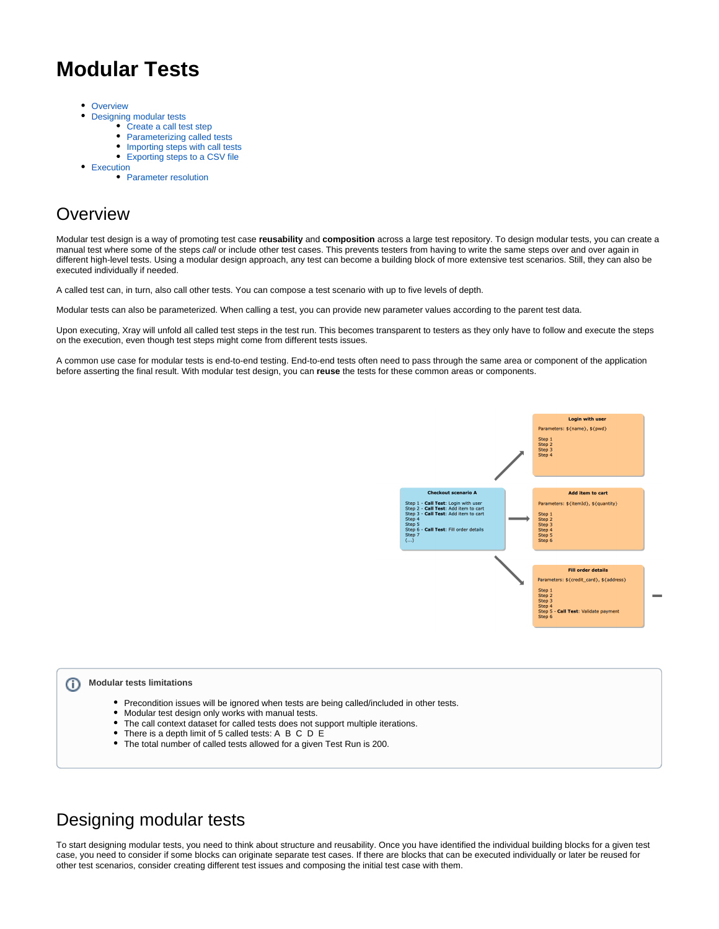# **Modular Tests**

- **[Overview](#page-0-0)**  $\bullet$
- [Designing modular tests](#page-0-1)
	- [Create a call test step](#page-1-0)
	- [Parameterizing called tests](#page-1-1)
	- [Importing steps with call tests](#page-3-0) [Exporting steps to a CSV file](#page-3-1)
- [Execution](#page-4-0)
	- [Parameter resolution](#page-5-0)

# <span id="page-0-0"></span>**Overview**

Modular test design is a way of promoting test case **reusability** and **composition** across a large test repository. To design modular tests, you can create a manual test where some of the steps call or include other test cases. This prevents testers from having to write the same steps over and over again in different high-level tests. Using a modular design approach, any test can become a building block of more extensive test scenarios. Still, they can also be executed individually if needed.

A called test can, in turn, also call other tests. You can compose a test scenario with up to five levels of depth.

Modular tests can also be parameterized. When calling a test, you can provide new parameter values according to the parent test data.

Upon executing, Xray will unfold all called test steps in the test run. This becomes transparent to testers as they only have to follow and execute the steps on the execution, even though test steps might come from different tests issues.

A common use case for modular tests is end-to-end testing. End-to-end tests often need to pass through the same area or component of the application before asserting the final result. With modular test design, you can **reuse** the tests for these common areas or components.



#### ⋒ **Modular tests limitations**

- $\bullet$ Precondition issues will be ignored when tests are being called/included in other tests.
- $\bullet$ Modular test design only works with manual tests.
- $\bullet$ The call context dataset for called tests does not support multiple iterations.
- There is a depth limit of 5 called tests: A B C D E
- The total number of called tests allowed for a given Test Run is 200.

## <span id="page-0-1"></span>Designing modular tests

To start designing modular tests, you need to think about structure and reusability. Once you have identified the individual building blocks for a given test case, you need to consider if some blocks can originate separate test cases. If there are blocks that can be executed individually or later be reused for other test scenarios, consider creating different test issues and composing the initial test case with them.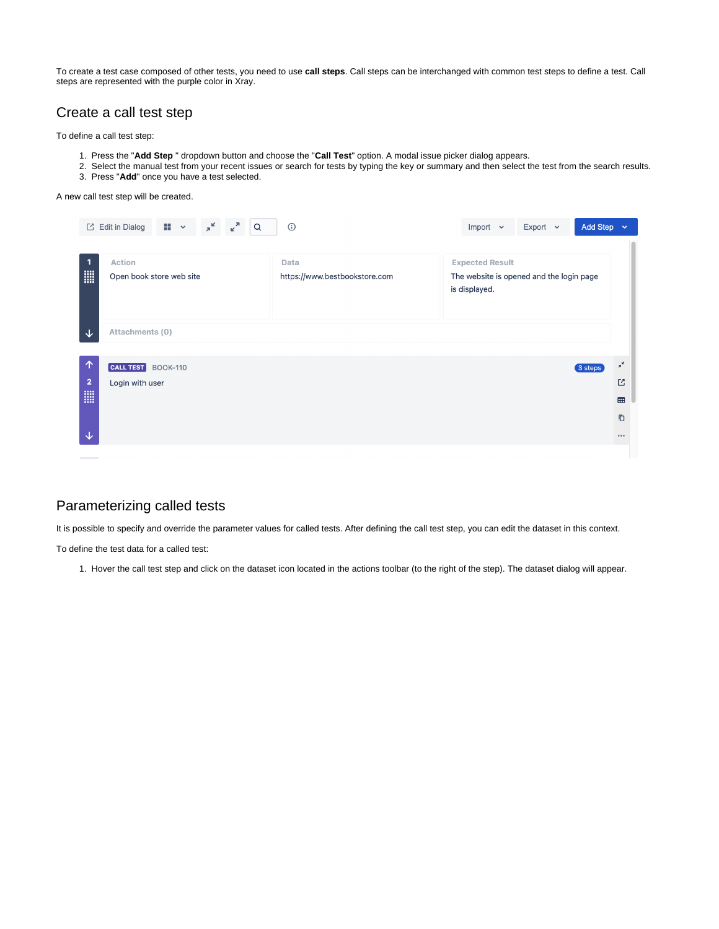To create a test case composed of other tests, you need to use **call steps**. Call steps can be interchanged with common test steps to define a test. Call steps are represented with the purple color in Xray.

#### <span id="page-1-0"></span>Create a call test step

To define a call test step:

- 1. Press the "**Add Step** " dropdown button and choose the "**Call Test**" option. A modal issue picker dialog appears.
- 2. 3. Press "**Add**" once you have a test selected. Select the manual test from your recent issues or search for tests by typing the key or summary and then select the test from the search results.

#### A new call test step will be created.

|                                       | $\pi^{\mathbf{K}}$<br>$\epsilon^2$<br>$\mathbf{H}$ $\mathbf{v}$<br>$\alpha$<br><b>Z</b> Edit in Dialog | $\odot$                               | Add Step $\sim$<br>Export $\sim$<br>Import $\sim$                                   |                                                                                                                                                                                                                                                                                                                                                                                                                                                                                                                                 |
|---------------------------------------|--------------------------------------------------------------------------------------------------------|---------------------------------------|-------------------------------------------------------------------------------------|---------------------------------------------------------------------------------------------------------------------------------------------------------------------------------------------------------------------------------------------------------------------------------------------------------------------------------------------------------------------------------------------------------------------------------------------------------------------------------------------------------------------------------|
| 1<br><b>III</b>                       | <b>Action</b><br>Open book store web site                                                              | Data<br>https://www.bestbookstore.com | <b>Expected Result</b><br>The website is opened and the login page<br>is displayed. |                                                                                                                                                                                                                                                                                                                                                                                                                                                                                                                                 |
| ↓                                     | Attachments (0)                                                                                        |                                       |                                                                                     |                                                                                                                                                                                                                                                                                                                                                                                                                                                                                                                                 |
| 个<br>$\overline{2}$<br><b>WE</b><br>◡ | <b>CALL TEST</b> BOOK-110<br>Login with user                                                           |                                       | 3 steps                                                                             | $\pi^{\mathbf{K}}$<br><b>M</b><br>$\begin{array}{c}\n\text{H} \\ \text{H} \\ \text{H} \\ \text{H} \\ \text{H} \\ \text{H} \\ \text{H} \\ \text{H} \\ \text{H} \\ \text{H} \\ \text{H} \\ \text{H} \\ \text{H} \\ \text{H} \\ \text{H} \\ \text{H} \\ \text{H} \\ \text{H} \\ \text{H} \\ \text{H} \\ \text{H} \\ \text{H} \\ \text{H} \\ \text{H} \\ \text{H} \\ \text{H} \\ \text{H} \\ \text{H} \\ \text{H} \\ \text{H} \\ \text{H} \\ \text{H} \\ \text{H} \\ \text{H} \\ \text{H} \\ \text$<br>Ō<br>$\bullet\bullet\bullet$ |

### <span id="page-1-1"></span>Parameterizing called tests

It is possible to specify and override the parameter values for called tests. After defining the call test step, you can edit the dataset in this context.

To define the test data for a called test:

1. Hover the call test step and click on the dataset icon located in the actions toolbar (to the right of the step). The dataset dialog will appear.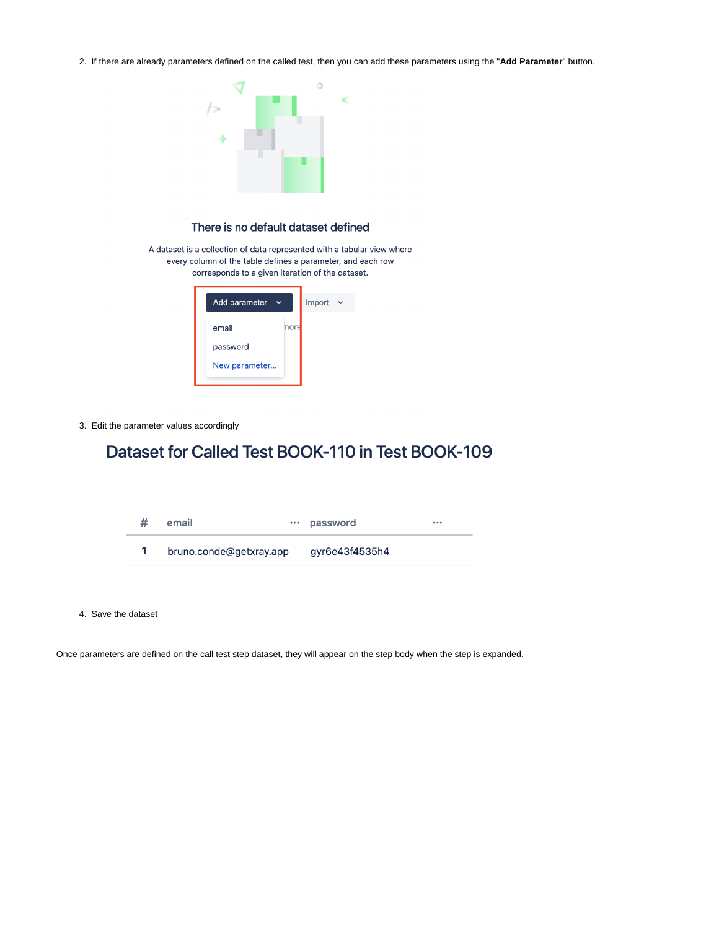2. If there are already parameters defined on the called test, then you can add these parameters using the "**Add Parameter**" button.



#### There is no default dataset defined

A dataset is a collection of data represented with a tabular view where every column of the table defines a parameter, and each row corresponds to a given iteration of the dataset.



3. Edit the parameter values accordingly

# Dataset for Called Test BOOK-110 in Test BOOK-109

| email                   | password       | $\cdots$ |
|-------------------------|----------------|----------|
| bruno.conde@getxray.app | gyr6e43f4535h4 |          |

4. Save the dataset

Once parameters are defined on the call test step dataset, they will appear on the step body when the step is expanded.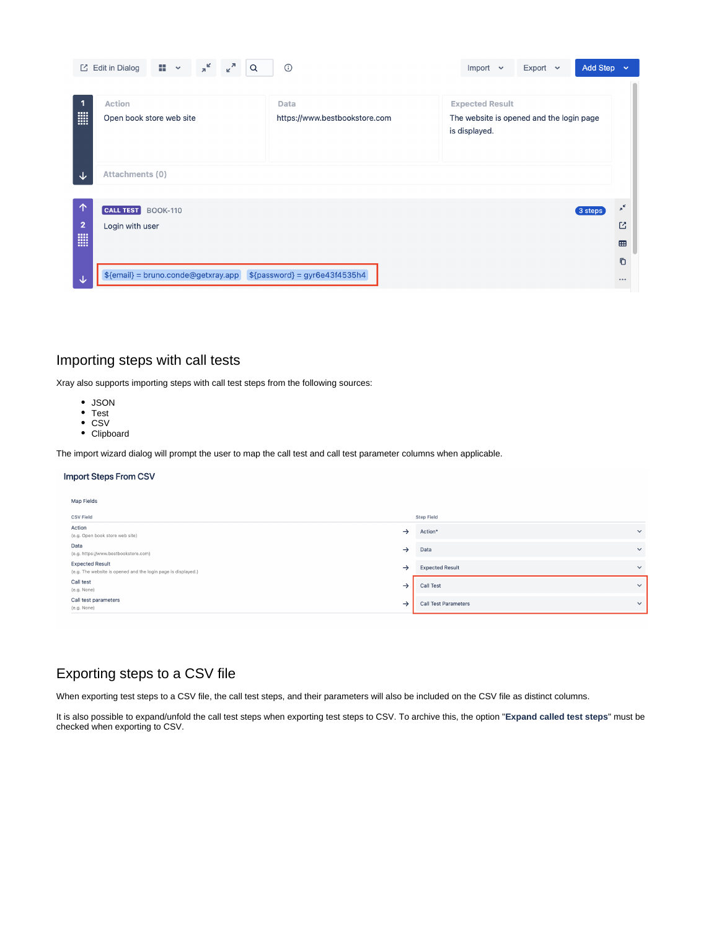|                              | $K$ <sup>N</sup><br>$\pi^{\mathbf{K}}$<br>88<br>$\Box$ Edit in Dialog<br>Q<br>$\checkmark$ | $\odot$                               | Add Step $\sim$<br>Export $\sim$<br>Import<br>$\checkmark$                          |                         |
|------------------------------|--------------------------------------------------------------------------------------------|---------------------------------------|-------------------------------------------------------------------------------------|-------------------------|
| $\mathbf{1}$<br>E            | <b>Action</b><br>Open book store web site                                                  | Data<br>https://www.bestbookstore.com | <b>Expected Result</b><br>The website is opened and the login page<br>is displayed. |                         |
| ∿                            | Attachments (0)                                                                            |                                       |                                                                                     |                         |
| $\uparrow$<br>$\overline{2}$ | <b>CALL TEST</b><br><b>BOOK-110</b><br>Login with user                                     |                                       | 3 steps                                                                             | $\pi^{\mathbf{K}}$<br>Ľ |
| E                            |                                                                                            |                                       |                                                                                     | <b>BB</b><br>O          |
| ◡                            | $${email} = bruno.conde@getxray.app$                                                       | $$$ {password} = gyr6e43f4535h4       |                                                                                     | $\bullet\bullet\bullet$ |

### <span id="page-3-0"></span>Importing steps with call tests

Xray also supports importing steps with call test steps from the following sources:

- JSON
- Test
- CSV
- Clipboard

The import wizard dialog will prompt the user to map the call test and call test parameter columns when applicable.

#### **Import Steps From CSV**

| Map Fields                                                                              |               |                             |              |  |
|-----------------------------------------------------------------------------------------|---------------|-----------------------------|--------------|--|
| <b>CSV Field</b>                                                                        |               | <b>Step Field</b>           |              |  |
| Action<br>(e.g. Open book store web site)                                               | $\rightarrow$ | Action*                     | $\checkmark$ |  |
| Data<br>(e.g. https://www.bestbookstore.com)                                            | $\rightarrow$ | Data                        | $\checkmark$ |  |
| <b>Expected Result</b><br>(e.g. The website is opened and the login page is displayed.) | $\rightarrow$ | <b>Expected Result</b>      | $\checkmark$ |  |
| Call test<br>(e.g. None)                                                                | $\rightarrow$ | <b>Call Test</b>            | $\checkmark$ |  |
| Call test parameters<br>(e.g. None)                                                     | $\rightarrow$ | <b>Call Test Parameters</b> | $\checkmark$ |  |

### <span id="page-3-1"></span>Exporting steps to a CSV file

When exporting test steps to a CSV file, the call test steps, and their parameters will also be included on the CSV file as distinct columns.

It is also possible to expand/unfold the call test steps when exporting test steps to CSV. To archive this, the option "**Expand called test steps**" must be checked when exporting to CSV.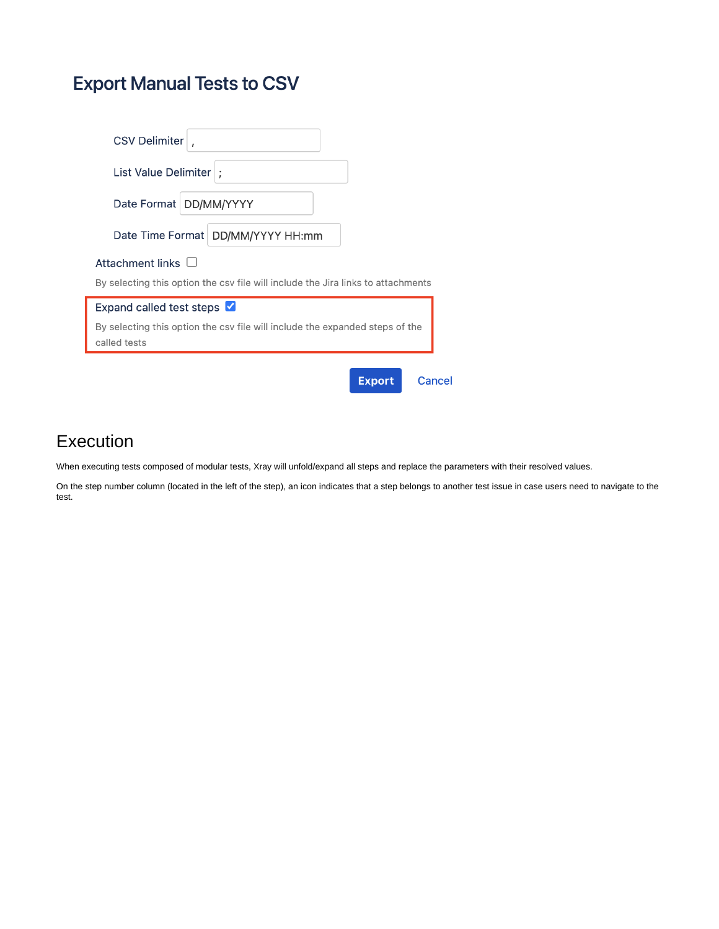# **Export Manual Tests to CSV**

| <b>CSV Delimiter</b>                                                                                        |  |  |  |  |
|-------------------------------------------------------------------------------------------------------------|--|--|--|--|
| List Value Delimiter  :                                                                                     |  |  |  |  |
| Date Format   DD/MM/YYYY                                                                                    |  |  |  |  |
| Date Time Format   DD/MM/YYYY HH:mm                                                                         |  |  |  |  |
| Attachment links $\Box$<br>By selecting this option the csy file will include the Jira links to attachments |  |  |  |  |
| Expand called test steps V                                                                                  |  |  |  |  |
| By selecting this option the csy file will include the expanded steps of the<br>called tests                |  |  |  |  |
| <b>Export</b><br>Cancel                                                                                     |  |  |  |  |

# <span id="page-4-0"></span>Execution

When executing tests composed of modular tests, Xray will unfold/expand all steps and replace the parameters with their resolved values.

On the step number column (located in the left of the step), an icon indicates that a step belongs to another test issue in case users need to navigate to the test.